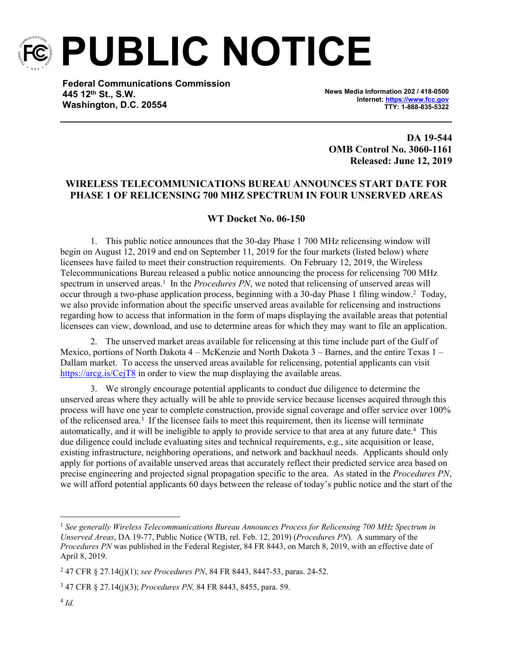

**PUBLIC NOTICE**

**Federal Communications Commission 445 12th St., S.W. Washington, D.C. 20554**

**News Media Information 202 / 418-0500 Internet:<https://www.fcc.gov> TTY: 1-888-835-5322**

**DA 19-544 OMB Control No. 3060-1161 Released: June 12, 2019**

## **WIRELESS TELECOMMUNICATIONS BUREAU ANNOUNCES START DATE FOR PHASE 1 OF RELICENSING 700 MHZ SPECTRUM IN FOUR UNSERVED AREAS**

## **WT Docket No. 06-150**

1. This public notice announces that the 30-day Phase 1 700 MHz relicensing window will begin on August 12, 2019 and end on September 11, 2019 for the four markets (listed below) where licensees have failed to meet their construction requirements. On February 12, 2019, the Wireless Telecommunications Bureau released a public notice announcing the process for relicensing 700 MHz spectrum in unserved areas.<sup>1</sup> In the *Procedures PN*, we noted that relicensing of unserved areas will occur through a two-phase application process, beginning with a 30-day Phase 1 filing window.<sup>2</sup> Today, we also provide information about the specific unserved areas available for relicensing and instructions regarding how to access that information in the form of maps displaying the available areas that potential licensees can view, download, and use to determine areas for which they may want to file an application.

2. The unserved market areas available for relicensing at this time include part of the Gulf of Mexico, portions of North Dakota 4 – McKenzie and North Dakota 3 – Barnes, and the entire Texas 1 – Dallam market. To access the unserved areas available for relicensing, potential applicants can visit <https://arcg.is/CejT8> in order to view the map displaying the available areas.

3. We strongly encourage potential applicants to conduct due diligence to determine the unserved areas where they actually will be able to provide service because licenses acquired through this process will have one year to complete construction, provide signal coverage and offer service over 100% of the relicensed area.<sup>3</sup> If the licensee fails to meet this requirement, then its license will terminate automatically, and it will be ineligible to apply to provide service to that area at any future date.<sup>4</sup> This due diligence could include evaluating sites and technical requirements, e.g., site acquisition or lease, existing infrastructure, neighboring operations, and network and backhaul needs. Applicants should only apply for portions of available unserved areas that accurately reflect their predicted service area based on precise engineering and projected signal propagation specific to the area. As stated in the *Procedures PN*, we will afford potential applicants 60 days between the release of today's public notice and the start of the

<sup>1</sup> *See generally Wireless Telecommunications Bureau Announces Process for Relicensing 700 MHz Spectrum in Unserved Areas*, DA 19-77, Public Notice (WTB, rel. Feb. 12, 2019) (*Procedures PN*). A summary of the *Procedures PN* was published in the Federal Register, 84 FR 8443, on March 8, 2019, with an effective date of April 8, 2019.

<sup>2</sup> 47 CFR § 27.14(j)(1); *see Procedures PN*, 84 FR 8443, 8447-53, paras. 24-52.

<sup>3</sup> 47 CFR § 27.14(j)(3); *Procedures PN,* 84 FR 8443, 8455, para. 59.